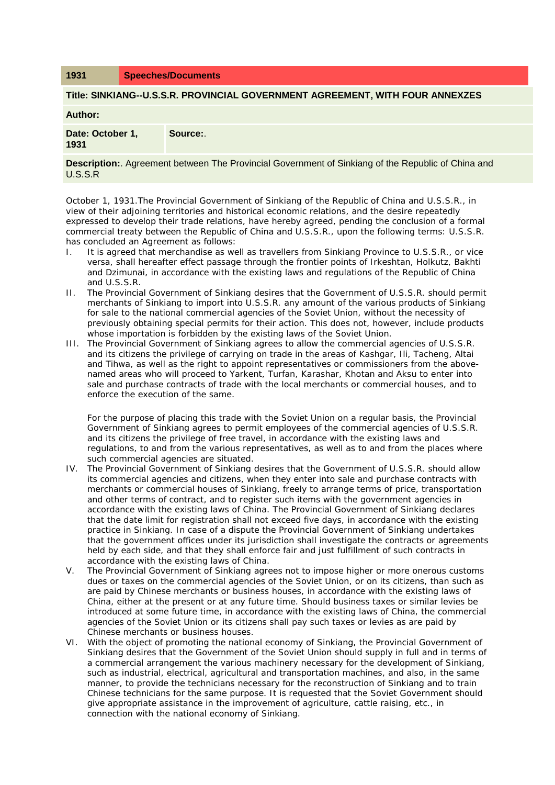### **1931 Speeches/Documents**

#### **Title: SINKIANG--U.S.S.R. PROVINCIAL GOVERNMENT AGREEMENT, WITH FOUR ANNEXZES**

**Author:** 

**Date: October 1, 1931 Source:**.

**Description:**. Agreement between The Provincial Government of Sinkiang of the Republic of China and U.S.S.R

October 1, 1931.The Provincial Government of Sinkiang of the Republic of China and U.S.S.R., in view of their adjoining territories and historical economic relations, and the desire repeatedly expressed to develop their trade relations, have hereby agreed, pending the conclusion of a formal commercial treaty between the Republic of China and U.S.S.R., upon the following terms: U.S.S.R. has concluded an Agreement as follows:

- I. It is agreed that merchandise as well as travellers from Sinkiang Province to U.S.S.R., or vice versa, shall hereafter effect passage through the frontier points of Irkeshtan, Holkutz, Bakhti and Dzimunai, in accordance with the existing laws and regulations of the Republic of China and U.S.S.R.
- II. The Provincial Government of Sinkiang desires that the Government of U.S.S.R. should permit merchants of Sinkiang to import into U.S.S.R. any amount of the various products of Sinkiang for sale to the national commercial agencies of the Soviet Union, without the necessity of previously obtaining special permits for their action. This does not, however, include products whose importation is forbidden by the existing laws of the Soviet Union.
- III. The Provincial Government of Sinkiang agrees to allow the commercial agencies of U.S.S.R. and its citizens the privilege of carrying on trade in the areas of Kashgar, Ili, Tacheng, Altai and Tihwa, as well as the right to appoint representatives or commissioners from the abovenamed areas who will proceed to Yarkent, Turfan, Karashar, Khotan and Aksu to enter into sale and purchase contracts of trade with the local merchants or commercial houses, and to enforce the execution of the same.

For the purpose of placing this trade with the Soviet Union on a regular basis, the Provincial Government of Sinkiang agrees to permit employees of the commercial agencies of U.S.S.R. and its citizens the privilege of free travel, in accordance with the existing laws and regulations, to and from the various representatives, as well as to and from the places where such commercial agencies are situated.

- IV. The Provincial Government of Sinkiang desires that the Government of U.S.S.R. should allow its commercial agencies and citizens, when they enter into sale and purchase contracts with merchants or commercial houses of Sinkiang, freely to arrange terms of price, transportation and other terms of contract, and to register such items with the government agencies in accordance with the existing laws of China. The Provincial Government of Sinkiang declares that the date limit for registration shall not exceed five days, in accordance with the existing practice in Sinkiang. In case of a dispute the Provincial Government of Sinkiang undertakes that the government offices under its jurisdiction shall investigate the contracts or agreements held by each side, and that they shall enforce fair and just fulfillment of such contracts in accordance with the existing laws of China.
- V. The Provincial Government of Sinkiang agrees not to impose higher or more onerous customs dues or taxes on the commercial agencies of the Soviet Union, or on its citizens, than such as are paid by Chinese merchants or business houses, in accordance with the existing laws of China, either at the present or at any future time. Should business taxes or similar levies be introduced at some future time, in accordance with the existing laws of China, the commercial agencies of the Soviet Union or its citizens shall pay such taxes or levies as are paid by Chinese merchants or business houses.
- VI. With the object of promoting the national economy of Sinkiang, the Provincial Government of Sinkiang desires that the Government of the Soviet Union should supply in full and in terms of a commercial arrangement the various machinery necessary for the development of Sinkiang, such as industrial, electrical, agricultural and transportation machines, and also, in the same manner, to provide the technicians necessary for the reconstruction of Sinkiang and to train Chinese technicians for the same purpose. It is requested that the Soviet Government should give appropriate assistance in the improvement of agriculture, cattle raising, etc., in connection with the national economy of Sinkiang.